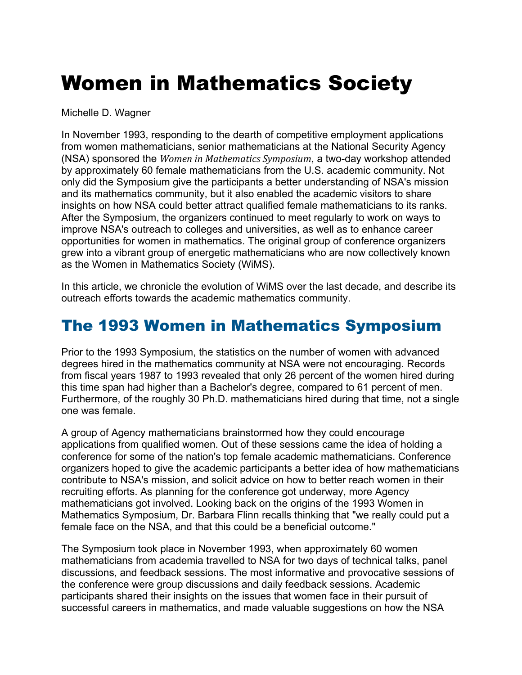## Women in Mathematics Society

Michelle D. Wagner

In November 1993, responding to the dearth of competitive employment applications from women mathematicians, senior mathematicians at the National Security Agency (NSA) sponsored the *Women in Mathematics Symposium*, a two-day workshop attended by approximately 60 female mathematicians from the U.S. academic community. Not only did the Symposium give the participants a better understanding of NSA's mission and its mathematics community, but it also enabled the academic visitors to share insights on how NSA could better attract qualified female mathematicians to its ranks. After the Symposium, the organizers continued to meet regularly to work on ways to improve NSA's outreach to colleges and universities, as well as to enhance career opportunities for women in mathematics. The original group of conference organizers grew into a vibrant group of energetic mathematicians who are now collectively known as the Women in Mathematics Society (WiMS).

In this article, we chronicle the evolution of WiMS over the last decade, and describe its outreach efforts towards the academic mathematics community.

## The 1993 Women in Mathematics Symposium

Prior to the 1993 Symposium, the statistics on the number of women with advanced degrees hired in the mathematics community at NSA were not encouraging. Records from fiscal years 1987 to 1993 revealed that only 26 percent of the women hired during this time span had higher than a Bachelor's degree, compared to 61 percent of men. Furthermore, of the roughly 30 Ph.D. mathematicians hired during that time, not a single one was female.

A group of Agency mathematicians brainstormed how they could encourage applications from qualified women. Out of these sessions came the idea of holding a conference for some of the nation's top female academic mathematicians. Conference organizers hoped to give the academic participants a better idea of how mathematicians contribute to NSA's mission, and solicit advice on how to better reach women in their recruiting efforts. As planning for the conference got underway, more Agency mathematicians got involved. Looking back on the origins of the 1993 Women in Mathematics Symposium, Dr. Barbara Flinn recalls thinking that "we really could put a female face on the NSA, and that this could be a beneficial outcome."

The Symposium took place in November 1993, when approximately 60 women mathematicians from academia travelled to NSA for two days of technical talks, panel discussions, and feedback sessions. The most informative and provocative sessions of the conference were group discussions and daily feedback sessions. Academic participants shared their insights on the issues that women face in their pursuit of successful careers in mathematics, and made valuable suggestions on how the NSA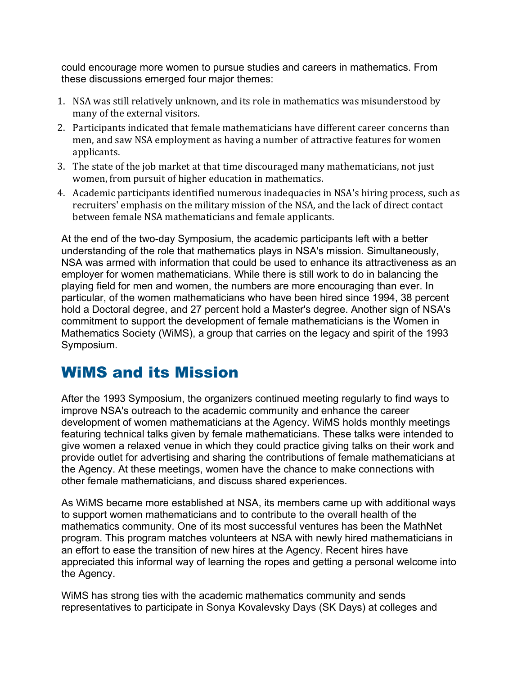could encourage more women to pursue studies and careers in mathematics. From these discussions emerged four major themes:

- 1. NSA was still relatively unknown, and its role in mathematics was misunderstood by many of the external visitors.
- 2. Participants indicated that female mathematicians have different career concerns than men, and saw NSA employment as having a number of attractive features for women applicants.
- 3. The state of the job market at that time discouraged many mathematicians, not just women, from pursuit of higher education in mathematics.
- 4. Academic participants identified numerous inadequacies in NSA's hiring process, such as recruiters' emphasis on the military mission of the NSA, and the lack of direct contact between female NSA mathematicians and female applicants.

At the end of the two-day Symposium, the academic participants left with a better understanding of the role that mathematics plays in NSA's mission. Simultaneously, NSA was armed with information that could be used to enhance its attractiveness as an employer for women mathematicians. While there is still work to do in balancing the playing field for men and women, the numbers are more encouraging than ever. In particular, of the women mathematicians who have been hired since 1994, 38 percent hold a Doctoral degree, and 27 percent hold a Master's degree. Another sign of NSA's commitment to support the development of female mathematicians is the Women in Mathematics Society (WiMS), a group that carries on the legacy and spirit of the 1993 Symposium.

## WiMS and its Mission

After the 1993 Symposium, the organizers continued meeting regularly to find ways to improve NSA's outreach to the academic community and enhance the career development of women mathematicians at the Agency. WiMS holds monthly meetings featuring technical talks given by female mathematicians. These talks were intended to give women a relaxed venue in which they could practice giving talks on their work and provide outlet for advertising and sharing the contributions of female mathematicians at the Agency. At these meetings, women have the chance to make connections with other female mathematicians, and discuss shared experiences.

As WiMS became more established at NSA, its members came up with additional ways to support women mathematicians and to contribute to the overall health of the mathematics community. One of its most successful ventures has been the MathNet program. This program matches volunteers at NSA with newly hired mathematicians in an effort to ease the transition of new hires at the Agency. Recent hires have appreciated this informal way of learning the ropes and getting a personal welcome into the Agency.

WiMS has strong ties with the academic mathematics community and sends representatives to participate in Sonya Kovalevsky Days (SK Days) at colleges and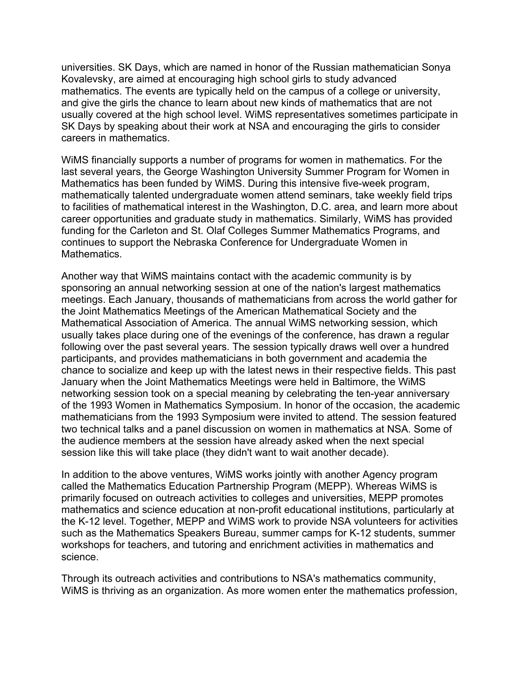universities. SK Days, which are named in honor of the Russian mathematician Sonya Kovalevsky, are aimed at encouraging high school girls to study advanced mathematics. The events are typically held on the campus of a college or university, and give the girls the chance to learn about new kinds of mathematics that are not usually covered at the high school level. WiMS representatives sometimes participate in SK Days by speaking about their work at NSA and encouraging the girls to consider careers in mathematics.

WiMS financially supports a number of programs for women in mathematics. For the last several years, the George Washington University Summer Program for Women in Mathematics has been funded by WiMS. During this intensive five-week program, mathematically talented undergraduate women attend seminars, take weekly field trips to facilities of mathematical interest in the Washington, D.C. area, and learn more about career opportunities and graduate study in mathematics. Similarly, WiMS has provided funding for the Carleton and St. Olaf Colleges Summer Mathematics Programs, and continues to support the Nebraska Conference for Undergraduate Women in Mathematics.

Another way that WiMS maintains contact with the academic community is by sponsoring an annual networking session at one of the nation's largest mathematics meetings. Each January, thousands of mathematicians from across the world gather for the Joint Mathematics Meetings of the American Mathematical Society and the Mathematical Association of America. The annual WiMS networking session, which usually takes place during one of the evenings of the conference, has drawn a regular following over the past several years. The session typically draws well over a hundred participants, and provides mathematicians in both government and academia the chance to socialize and keep up with the latest news in their respective fields. This past January when the Joint Mathematics Meetings were held in Baltimore, the WiMS networking session took on a special meaning by celebrating the ten-year anniversary of the 1993 Women in Mathematics Symposium. In honor of the occasion, the academic mathematicians from the 1993 Symposium were invited to attend. The session featured two technical talks and a panel discussion on women in mathematics at NSA. Some of the audience members at the session have already asked when the next special session like this will take place (they didn't want to wait another decade).

In addition to the above ventures, WiMS works jointly with another Agency program called the Mathematics Education Partnership Program (MEPP). Whereas WiMS is primarily focused on outreach activities to colleges and universities, MEPP promotes mathematics and science education at non-profit educational institutions, particularly at the K-12 level. Together, MEPP and WiMS work to provide NSA volunteers for activities such as the Mathematics Speakers Bureau, summer camps for K-12 students, summer workshops for teachers, and tutoring and enrichment activities in mathematics and science.

Through its outreach activities and contributions to NSA's mathematics community, WiMS is thriving as an organization. As more women enter the mathematics profession,